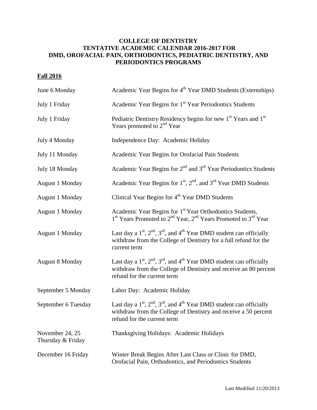## **COLLEGE OF DENTISTRY TENTATIVE ACADEMIC CALENDAR 2016-2017 FOR DMD, OROFACIAL PAIN, ORTHODONTICS, PEDIATRIC DENTISTRY, AND PERIODONTICS PROGRAMS**

## **Fall 2016**

| June 6 Monday                        | Academic Year Begins for 4 <sup>th</sup> Year DMD Students (Externships)                                                                                                               |
|--------------------------------------|----------------------------------------------------------------------------------------------------------------------------------------------------------------------------------------|
| July 1 Friday                        | Academic Year Begins for 1 <sup>st</sup> Year Periodontics Students                                                                                                                    |
| July 1 Friday                        | Pediatric Dentistry Residency begins for new 1 <sup>st</sup> Years and 1 <sup>st</sup><br>Years promoted to $2nd$ Year                                                                 |
| July 4 Monday                        | Independence Day: Academic Holiday                                                                                                                                                     |
| July 11 Monday                       | Academic Year Begins for Orofacial Pain Students                                                                                                                                       |
| July 18 Monday                       | Academic Year Begins for $2nd$ and $3rd$ Year Periodontics Students                                                                                                                    |
| <b>August 1 Monday</b>               | Academic Year Begins for $1st$ , $2nd$ , and $3rd$ Year DMD Students                                                                                                                   |
| <b>August 1 Monday</b>               | Clinical Year Begins for 4 <sup>th</sup> Year DMD Students                                                                                                                             |
| <b>August 1 Monday</b>               | Academic Year Begins for 1 <sup>st</sup> Year Orthodontics Students,<br>1 <sup>st</sup> Years Promoted to 2 <sup>nd</sup> Year, 2 <sup>nd</sup> Years Promoted to 3 <sup>rd</sup> Year |
| August 1 Monday                      | Last day a $1st$ , $2nd$ , $3rd$ , and $4th$ Year DMD student can officially<br>withdraw from the College of Dentistry for a full refund for the<br>current term                       |
| <b>August 8 Monday</b>               | Last day a $1st$ , $2nd$ , $3rd$ , and $4th$ Year DMD student can officially<br>withdraw from the College of Dentistry and receive an 80 percent<br>refund for the current term        |
| September 5 Monday                   | Labor Day: Academic Holiday                                                                                                                                                            |
| September 6 Tuesday                  | Last day a $1st$ , $2nd$ , $3rd$ , and $4th$ Year DMD student can officially<br>withdraw from the College of Dentistry and receive a 50 percent<br>refund for the current term         |
| November 24, 25<br>Thursday & Friday | Thanksgiving Holidays: Academic Holidays                                                                                                                                               |
| December 16 Friday                   | Winter Break Begins After Last Class or Clinic for DMD,<br>Orofacial Pain, Orthodontics, and Periodontics Students                                                                     |